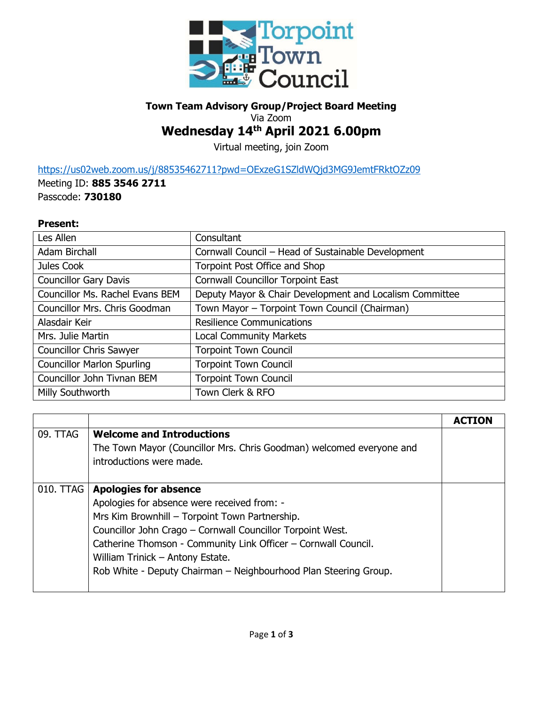

## **Town Team Advisory Group/Project Board Meeting** Via Zoom

## **Wednesday 14th April 2021 6.00pm**

Virtual meeting, join Zoom

<https://us02web.zoom.us/j/88535462711?pwd=OExzeG1SZldWQjd3MG9JemtFRktOZz09>

Meeting ID: **885 3546 2711** Passcode: **730180**

## **Present:**

| Les Allen                         | Consultant                                              |
|-----------------------------------|---------------------------------------------------------|
| Adam Birchall                     | Cornwall Council - Head of Sustainable Development      |
| Jules Cook                        | Torpoint Post Office and Shop                           |
| <b>Councillor Gary Davis</b>      | <b>Cornwall Councillor Torpoint East</b>                |
| Councillor Ms. Rachel Evans BEM   | Deputy Mayor & Chair Development and Localism Committee |
| Councillor Mrs. Chris Goodman     | Town Mayor - Torpoint Town Council (Chairman)           |
| Alasdair Keir                     | <b>Resilience Communications</b>                        |
| Mrs. Julie Martin                 | <b>Local Community Markets</b>                          |
| <b>Councillor Chris Sawyer</b>    | <b>Torpoint Town Council</b>                            |
| <b>Councillor Marlon Spurling</b> | <b>Torpoint Town Council</b>                            |
| Councillor John Tivnan BEM        | <b>Torpoint Town Council</b>                            |
| Milly Southworth                  | Town Clerk & RFO                                        |

| 09. TTAG  | <b>Welcome and Introductions</b>                                     |  |
|-----------|----------------------------------------------------------------------|--|
|           | The Town Mayor (Councillor Mrs. Chris Goodman) welcomed everyone and |  |
|           | introductions were made.                                             |  |
|           |                                                                      |  |
| 010. TTAG | <b>Apologies for absence</b>                                         |  |
|           | Apologies for absence were received from: -                          |  |
|           | Mrs Kim Brownhill - Torpoint Town Partnership.                       |  |
|           | Councillor John Crago - Cornwall Councillor Torpoint West.           |  |
|           | Catherine Thomson - Community Link Officer - Cornwall Council.       |  |
|           | William Trinick - Antony Estate.                                     |  |
|           | Rob White - Deputy Chairman - Neighbourhood Plan Steering Group.     |  |
|           |                                                                      |  |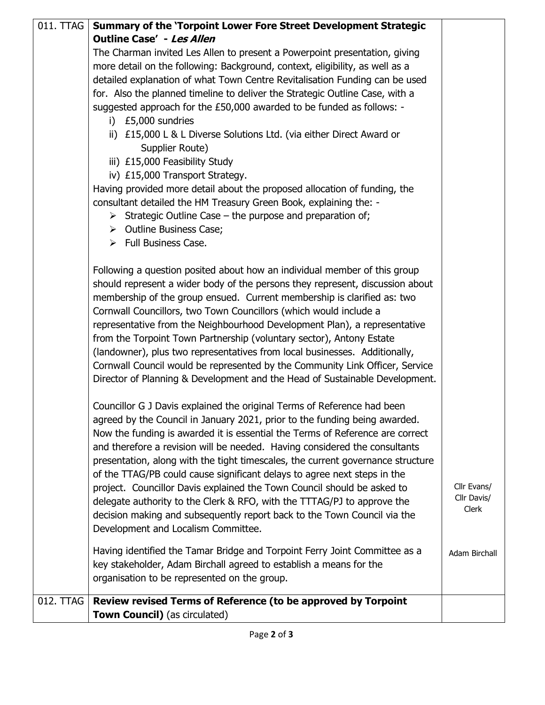| 011. TTAG | Summary of the 'Torpoint Lower Fore Street Development Strategic                |               |
|-----------|---------------------------------------------------------------------------------|---------------|
|           | <b>Outline Case' - Les Allen</b>                                                |               |
|           | The Charman invited Les Allen to present a Powerpoint presentation, giving      |               |
|           | more detail on the following: Background, context, eligibility, as well as a    |               |
|           | detailed explanation of what Town Centre Revitalisation Funding can be used     |               |
|           | for. Also the planned timeline to deliver the Strategic Outline Case, with a    |               |
|           | suggested approach for the £50,000 awarded to be funded as follows: -           |               |
|           | i) £5,000 sundries                                                              |               |
|           | ii) £15,000 L & L Diverse Solutions Ltd. (via either Direct Award or            |               |
|           | Supplier Route)                                                                 |               |
|           | iii) £15,000 Feasibility Study                                                  |               |
|           | iv) £15,000 Transport Strategy.                                                 |               |
|           | Having provided more detail about the proposed allocation of funding, the       |               |
|           | consultant detailed the HM Treasury Green Book, explaining the: -               |               |
|           | $\triangleright$ Strategic Outline Case – the purpose and preparation of;       |               |
|           | $\triangleright$ Outline Business Case;                                         |               |
|           | > Full Business Case.                                                           |               |
|           | Following a question posited about how an individual member of this group       |               |
|           | should represent a wider body of the persons they represent, discussion about   |               |
|           | membership of the group ensued. Current membership is clarified as: two         |               |
|           | Cornwall Councillors, two Town Councillors (which would include a               |               |
|           | representative from the Neighbourhood Development Plan), a representative       |               |
|           | from the Torpoint Town Partnership (voluntary sector), Antony Estate            |               |
|           | (landowner), plus two representatives from local businesses. Additionally,      |               |
|           | Cornwall Council would be represented by the Community Link Officer, Service    |               |
|           | Director of Planning & Development and the Head of Sustainable Development.     |               |
|           |                                                                                 |               |
|           | Councillor G J Davis explained the original Terms of Reference had been         |               |
|           | agreed by the Council in January 2021, prior to the funding being awarded.      |               |
|           | Now the funding is awarded it is essential the Terms of Reference are correct   |               |
|           | and therefore a revision will be needed. Having considered the consultants      |               |
|           | presentation, along with the tight timescales, the current governance structure |               |
|           | of the TTAG/PB could cause significant delays to agree next steps in the        |               |
|           | project. Councillor Davis explained the Town Council should be asked to         | Cllr Evans/   |
|           | delegate authority to the Clerk & RFO, with the TTTAG/PJ to approve the         | Cllr Davis/   |
|           | decision making and subsequently report back to the Town Council via the        | Clerk         |
|           | Development and Localism Committee.                                             |               |
|           | Having identified the Tamar Bridge and Torpoint Ferry Joint Committee as a      | Adam Birchall |
|           | key stakeholder, Adam Birchall agreed to establish a means for the              |               |
|           | organisation to be represented on the group.                                    |               |
|           |                                                                                 |               |
| 012. TTAG | Review revised Terms of Reference (to be approved by Torpoint                   |               |
|           | Town Council) (as circulated)                                                   |               |